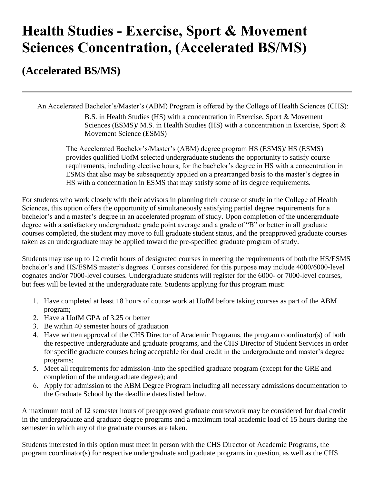## **Health Studies - Exercise, Sport & Movement Sciences Concentration, (Accelerated BS/MS)**

## **(Accelerated BS/MS)**

An Accelerated Bachelor's/Master's (ABM) Program is offered by the College of Health Sciences (CHS):

B.S. in Health Studies (HS) with a concentration in Exercise, Sport & Movement Sciences (ESMS)/ M.S. in Health Studies (HS) with a concentration in Exercise, Sport & Movement Science (ESMS)

The Accelerated Bachelor's/Master's (ABM) degree program HS (ESMS)/ HS (ESMS) provides qualified UofM selected undergraduate students the opportunity to satisfy course requirements, including elective hours, for the bachelor's degree in HS with a concentration in ESMS that also may be subsequently applied on a prearranged basis to the master's degree in HS with a concentration in ESMS that may satisfy some of its degree requirements.

For students who work closely with their advisors in planning their course of study in the College of Health Sciences, this option offers the opportunity of simultaneously satisfying partial degree requirements for a bachelor's and a master's degree in an accelerated program of study. Upon completion of the undergraduate degree with a satisfactory undergraduate grade point average and a grade of "B" or better in all graduate courses completed, the student may move to full graduate student status, and the preapproved graduate courses taken as an undergraduate may be applied toward the pre-specified graduate program of study.

Students may use up to 12 credit hours of designated courses in meeting the requirements of both the HS/ESMS bachelor's and HS/ESMS master's degrees. Courses considered for this purpose may include 4000/6000-level cognates and/or 7000-level courses. Undergraduate students will register for the 6000- or 7000-level courses, but fees will be levied at the undergraduate rate. Students applying for this program must:

- 1. Have completed at least 18 hours of course work at UofM before taking courses as part of the ABM program;
- 2. Have a UofM GPA of 3.25 or better
- 3. Be within 40 semester hours of graduation
- 4. Have written approval of the CHS Director of Academic Programs, the program coordinator(s) of both the respective undergraduate and graduate programs, and the CHS Director of Student Services in order for specific graduate courses being acceptable for dual credit in the undergraduate and master's degree programs;
- 5. Meet all requirements for admission -into the specified graduate program (except for the GRE and completion of the undergraduate degree); and
- 6. Apply for admission to the ABM Degree Program including all necessary admissions documentation to the Graduate School by the deadline dates listed below.

A maximum total of 12 semester hours of preapproved graduate coursework may be considered for dual credit in the undergraduate and graduate degree programs and a maximum total academic load of 15 hours during the semester in which any of the graduate courses are taken.

Students interested in this option must meet in person with the CHS Director of Academic Programs, the program coordinator(s) for respective undergraduate and graduate programs in question, as well as the CHS